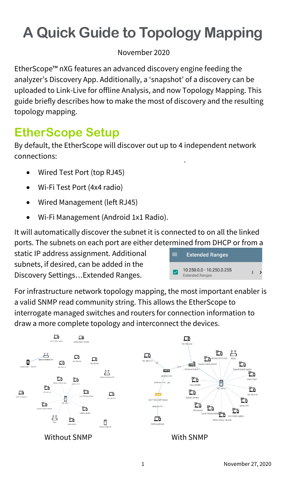# **A Quick Guide to Topology Mapping**

November 2020

EtherScope™ nXG features an advanced discovery engine feeding the analyzer's Discovery App. Additionally, a 'snapshot' of a discovery can be uploaded to Link-Live for offline Analysis, and now Topology Mapping. This guide briefly describes how to make the most of discovery and the resulting topology mapping.

### **EtherScope Setup**

By default, the EtherScope will discover out up to 4 independent network connections:

- Wired Test Port (top RJ45)
- Wi-Fi Test Port (4x4 radio)
- Wired Management (left RJ45)
- Wi-Fi Management (Android 1x1 Radio).

It will automatically discover the subnet it is connected to on all the linked ports. The subnets on each port are either determined from DHCP or from a

static IP address assignment. Additional subnets, if desired, can be added in the Discovery Settings…Extended Ranges.

| ═ | <b>Extended Ranges</b>                              |  |
|---|-----------------------------------------------------|--|
|   | 10.250.0.0 - 10.250.0.255<br><b>Extended Ranges</b> |  |

For infrastructure network topology mapping, the most important enabler is a valid SNMP read community string. This allows the EtherScope to interrogate managed switches and routers for connection information to draw a more complete topology and interconnect the devices.

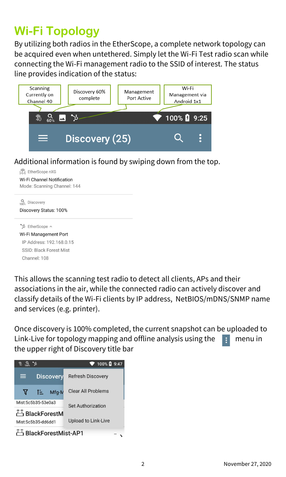# **Wi-Fi Topology**

By utilizing both radios in the EtherScope, a complete network topology can be acquired even when untethered. Simply let the Wi-Fi Test radio scan while connecting the Wi-Fi management radio to the SSID of interest. The status line provides indication of the status:

| Scanning<br>Currently on<br>Channel 40 | Discovery 60%<br>complete | Management<br>Port Active | Wi-Fi<br>Management via<br>Android 1x1 |  |
|----------------------------------------|---------------------------|---------------------------|----------------------------------------|--|
| 40                                     |                           |                           | 100% 2 9:25                            |  |
| Discovery (25)<br>⋿                    |                           |                           |                                        |  |

Additional information is found by swiping down from the top.

| 144 EtherScope nXG                   |  |  |
|--------------------------------------|--|--|
| Wi-Fi Channel Notification           |  |  |
| Mode: Scanning Channel: 144          |  |  |
| Discovery                            |  |  |
| Discovery Status: 100%               |  |  |
| $\triangleright$ EtherScope $\wedge$ |  |  |
| Wi-Fi Management Port                |  |  |
| IP Address: 192 168 0 15             |  |  |
| SSID: Black Forest Mist              |  |  |
| Channel: 108                         |  |  |
|                                      |  |  |

This allows the scanning test radio to detect all clients, APs and their associations in the air, while the connected radio can actively discover and classify details of the Wi-Fi clients by IP address, NetBIOS/mDNS/SNMP name and services (e.g. printer).

Once discovery is 100% completed, the current snapshot can be uploaded to Link-Live for topology mapping and offline analysis using the  $\frac{1}{2}$  menu in the upper right of Discovery title bar

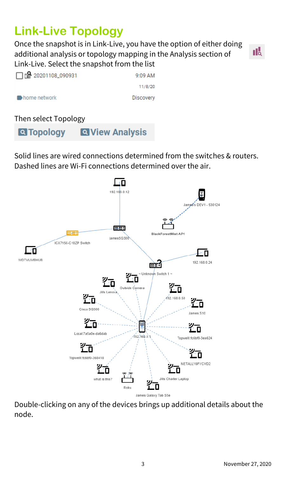# **Link-Live Topology**

Once the snapshot is in Link-Live, you have the option of either doing additional analysis or topology mapping in the Analysis section of Link-Live. Select the snapshot from the list



| □ □ 20201108_090931 | 9:09 AM          |
|---------------------|------------------|
|                     | 11/8/20          |
| home network        | <b>Discovery</b> |

#### Then select Topology

**Q** View Analysis **Q**Topology

Solid lines are wired connections determined from the switches & routers. Dashed lines are Wi-Fi connections determined over the air.



Double-clicking on any of the devices brings up additional details about the node.